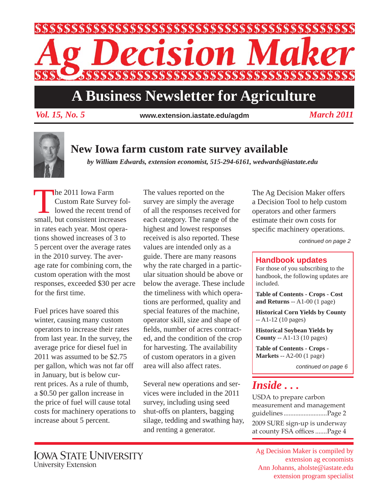

### **A Business Newsletter for Agriculture**

*Vol. 15, No. 5 March 2011* **www.extension.iastate.edu/agdm**

#### **New Iowa farm custom rate survey available**

*by William Edwards, extension economist, 515-294-6161, wedwards@iastate.edu*

The 2011 Iowa Farm<br>Custom Rate Survey<br>Iowed the recent tree Custom Rate Survey followed the recent trend of small, but consistent increases in rates each year. Most operations showed increases of 3 to 5 percent over the average rates in the 2010 survey. The average rate for combining corn, the custom operation with the most responses, exceeded \$30 per acre for the first time.

Fuel prices have soared this winter, causing many custom operators to increase their rates from last year. In the survey, the average price for diesel fuel in 2011 was assumed to be \$2.75 per gallon, which was not far off in January, but is below current prices. As a rule of thumb, a \$0.50 per gallon increase in the price of fuel will cause total costs for machinery operations to increase about 5 percent.

The values reported on the survey are simply the average of all the responses received for each category. The range of the highest and lowest responses received is also reported. These values are intended only as a guide. There are many reasons why the rate charged in a particular situation should be above or below the average. These include the timeliness with which operations are performed, quality and special features of the machine, operator skill, size and shape of fields, number of acres contracted, and the condition of the crop for harvesting. The availability of custom operators in a given area will also affect rates.

Several new operations and services were included in the 2011 survey, including using seed shut-offs on planters, bagging silage, tedding and swathing hay, and renting a generator.

The Ag Decision Maker offers a Decision Tool to help custom operators and other farmers estimate their own costs for specific machinery operations.

*continued on page 2*

#### **Handbook updates**

For those of you subscribing to the handbook, the following updates are included.

**Table of Contents - Crops - Cost and Returns** -- A1-00 (1 page)

**Historical Corn Yields by County** -- A1-12 (10 pages)

**Historical Soybean Yields by County** -- A1-13 (10 pages)

**Table of Contents - Crops - Markets** -- A2-00 (1 page)

*continued on page 6*

### *Inside . . .*

USDA to prepare carbon measurement and management guidelines ..........................Page 2 2009 SURE sign-up is underway at county FSA offices .......Page 4

Ag Decision Maker is compiled by extension ag economists Ann Johanns, aholste@iastate.edu extension program specialist

**IOWA STATE UNIVERSITY** University Extension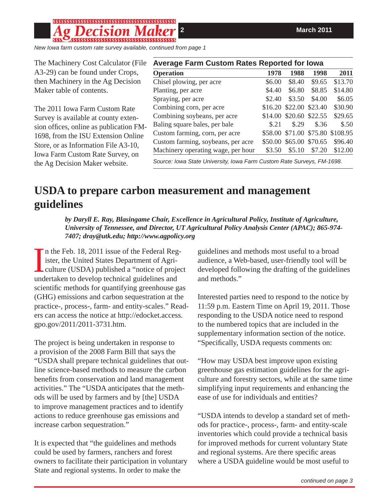# 55555555555555555555555555555555555555

*New Iowa farm custom rate survey available, continued from page 1*

| The Machinery Cost Calculator (File     | <b>Average Farm Custom Rates Reported for Iowa</b>                     |        |                         |        |                                  |
|-----------------------------------------|------------------------------------------------------------------------|--------|-------------------------|--------|----------------------------------|
| A3-29) can be found under Crops,        | <b>Operation</b>                                                       | 1978   | 1988                    | 1998   | 2011                             |
| then Machinery in the Ag Decision       | Chisel plowing, per acre                                               | \$6.00 | \$8.40                  | \$9.65 | \$13.70                          |
| Maker table of contents.                | Planting, per acre                                                     | \$4.40 | \$6.80                  | \$8.85 | \$14.80                          |
|                                         | Spraying, per acre                                                     | \$2.40 | \$3.50                  | \$4.00 | \$6.05                           |
| The 2011 Iowa Farm Custom Rate          | Combining corn, per acre                                               |        | \$16.20 \$22.00 \$23.40 |        | \$30.90                          |
| Survey is available at county exten-    | Combining soybeans, per acre                                           |        | \$14.00 \$20.60 \$22.55 |        | \$29.65                          |
| sion offices, online as publication FM- | Baling square bales, per bale                                          | \$.21  | \$.29                   | \$.36  | $\$.50$                          |
| 1698, from the ISU Extension Online     | Custom farming, corn, per acre                                         |        |                         |        | \$58.00 \$71.00 \$75.80 \$108.95 |
| Store, or as Information File A3-10,    | Custom farming, soybeans, per acre                                     |        | \$50.00 \$65.00 \$70.65 |        | \$96.40                          |
| <b>Iowa Farm Custom Rate Survey, on</b> | Machinery operating wage, per hour                                     | \$3.50 | \$5.10                  | \$7.20 | \$12.00                          |
| the Ag Decision Maker website.          | Source: Iowa State University, Iowa Farm Custom Rate Surveys, FM-1698. |        |                         |        |                                  |

### **USDA to prepare carbon measurement and management guidelines**

*by Daryll E. Ray, Blasingame Chair, Excellence in Agricultural Policy, Institute of Agriculture, University of Tennessee, and Director, UT Agricultural Policy Analysis Center (APAC); 865-974- 7407; dray@utk.edu; http://www.agpolicy.org*

In the Feb. 18, 2011 issue of the Federal Reg<br>ister, the United States Department of Agri-<br>culture (USDA) published a "notice of proje<br>undertaken to develop technical guidelines and n the Feb. 18, 2011 issue of the Federal Register, the United States Department of Agriculture (USDA) published a "notice of project scientific methods for quantifying greenhouse gas (GHG) emissions and carbon sequestration at the practice-, process-, farm- and entity-scales." Readers can access the notice at http://edocket.access. gpo.gov/2011/2011-3731.htm.

The project is being undertaken in response to a provision of the 2008 Farm Bill that says the "USDA shall prepare technical guidelines that outline science-based methods to measure the carbon benefits from conservation and land management activities." The "USDA anticipates that the methods will be used by farmers and by [the] USDA to improve management practices and to identify actions to reduce greenhouse gas emissions and increase carbon sequestration."

It is expected that "the guidelines and methods could be used by farmers, ranchers and forest owners to facilitate their participation in voluntary State and regional systems. In order to make the

guidelines and methods most useful to a broad audience, a Web-based, user-friendly tool will be developed following the drafting of the guidelines and methods."

Interested parties need to respond to the notice by 11:59 p.m. Eastern Time on April 19, 2011. Those responding to the USDA notice need to respond to the numbered topics that are included in the supplementary information section of the notice. "Specifically, USDA requests comments on:

"How may USDA best improve upon existing greenhouse gas estimation guidelines for the agriculture and forestry sectors, while at the same time simplifying input requirements and enhancing the ease of use for individuals and entities?

"USDA intends to develop a standard set of methods for practice-, process-, farm- and entity-scale inventories which could provide a technical basis for improved methods for current voluntary State and regional systems. Are there specific areas where a USDA guideline would be most useful to